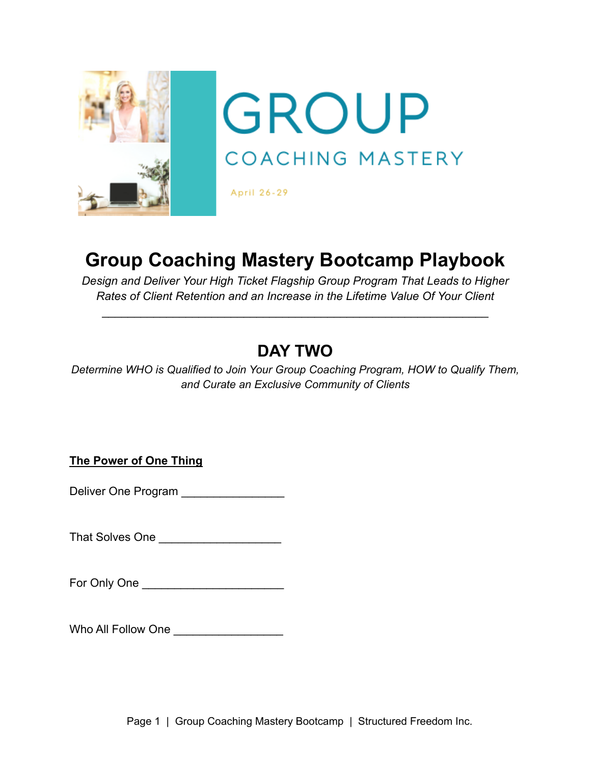

## **Group Coaching Mastery Bootcamp Playbook**

*Design and Deliver Your High Ticket Flagship Group Program That Leads to Higher Rates of Client Retention and an Increase in the Lifetime Value Of Your Client*

\_\_\_\_\_\_\_\_\_\_\_\_\_\_\_\_\_\_\_\_\_\_\_\_\_\_\_\_\_\_\_\_\_\_\_\_\_\_\_\_\_\_\_\_\_\_\_\_\_\_\_\_\_\_\_\_\_\_\_\_

## **DAY TWO**

*Determine WHO is Qualified to Join Your Group Coaching Program, HOW to Qualify Them, and Curate an Exclusive Community of Clients*

**The Power of One Thing**

Deliver One Program \_\_\_\_\_\_\_\_\_\_\_\_\_\_\_\_

That Solves One \_\_\_\_\_\_\_\_\_\_\_\_\_\_\_\_\_\_\_

For Only One \_\_\_\_\_\_\_\_\_\_\_\_\_\_\_\_\_\_\_\_\_\_

Who All Follow One \_\_\_\_\_\_\_\_\_\_\_\_\_\_\_\_\_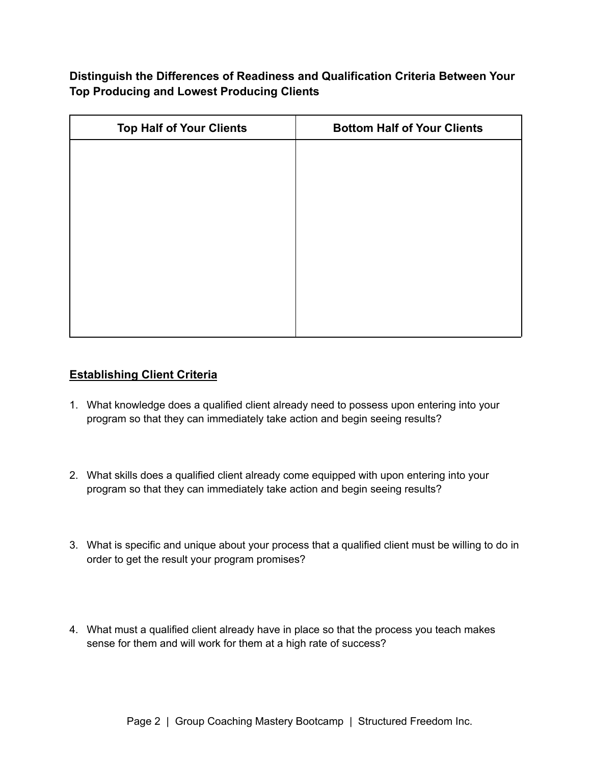**Distinguish the Differences of Readiness and Qualification Criteria Between Your Top Producing and Lowest Producing Clients**

| <b>Top Half of Your Clients</b> | <b>Bottom Half of Your Clients</b> |  |  |
|---------------------------------|------------------------------------|--|--|
|                                 |                                    |  |  |
|                                 |                                    |  |  |
|                                 |                                    |  |  |
|                                 |                                    |  |  |
|                                 |                                    |  |  |
|                                 |                                    |  |  |
|                                 |                                    |  |  |
|                                 |                                    |  |  |
|                                 |                                    |  |  |

## **Establishing Client Criteria**

- 1. What knowledge does a qualified client already need to possess upon entering into your program so that they can immediately take action and begin seeing results?
- 2. What skills does a qualified client already come equipped with upon entering into your program so that they can immediately take action and begin seeing results?
- 3. What is specific and unique about your process that a qualified client must be willing to do in order to get the result your program promises?
- 4. What must a qualified client already have in place so that the process you teach makes sense for them and will work for them at a high rate of success?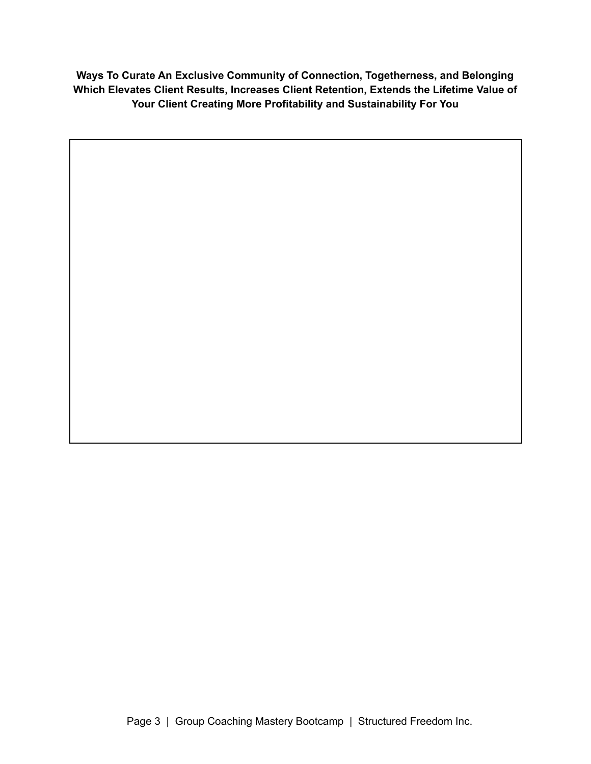**Ways To Curate An Exclusive Community of Connection, Togetherness, and Belonging Which Elevates Client Results, Increases Client Retention, Extends the Lifetime Value of Your Client Creating More Profitability and Sustainability For You**